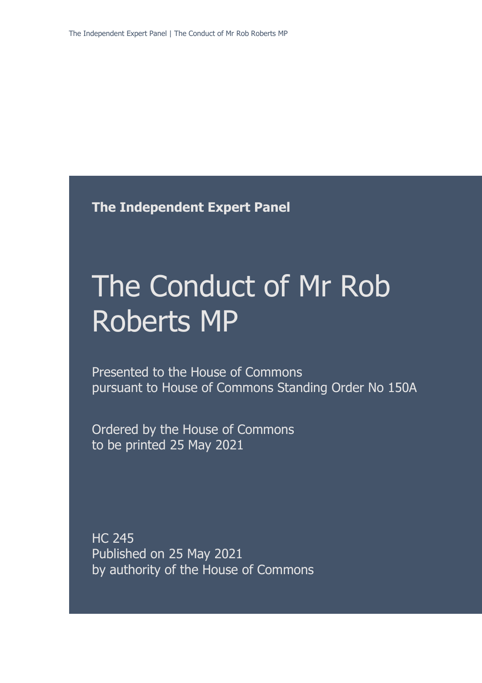**The Independent Expert Panel**

# The Conduct of Mr Rob Roberts MP

Presented to the House of Commons pursuant to House of Commons Standing Order No 150A

Ordered by the House of Commons to be printed 25 May 2021

HC 245 Published on 25 May 2021 by authority of the House of Commons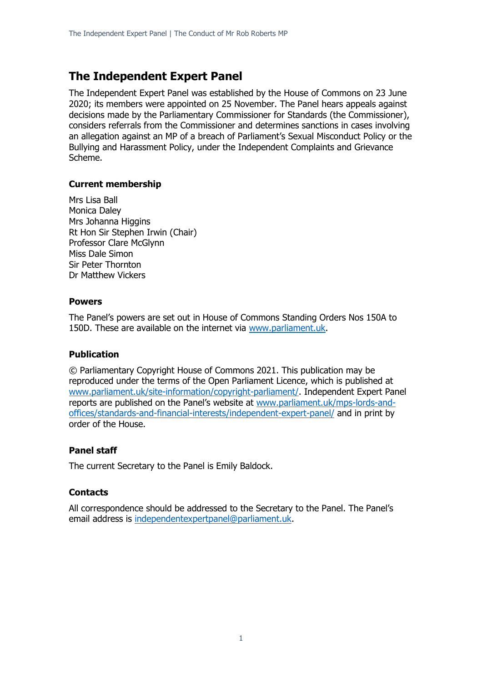# **The Independent Expert Panel**

The Independent Expert Panel was established by the House of Commons on 23 June 2020; its members were appointed on 25 November. The Panel hears appeals against decisions made by the Parliamentary Commissioner for Standards (the Commissioner), considers referrals from the Commissioner and determines sanctions in cases involving an allegation against an MP of a breach of Parliament's Sexual Misconduct Policy or the Bullying and Harassment Policy, under the Independent Complaints and Grievance Scheme.

### **Current membership**

Mrs Lisa Ball Monica Daley Mrs Johanna Higgins Rt Hon Sir Stephen Irwin (Chair) Professor Clare McGlynn Miss Dale Simon Sir Peter Thornton Dr Matthew Vickers

### **Powers**

The Panel's powers are set out in House of Commons Standing Orders Nos 150A to 150D. These are available on the internet via [www.parliament.uk.](http://www.parliament.uk/)

### **Publication**

© Parliamentary Copyright House of Commons 2021. This publication may be reproduced under the terms of the Open Parliament Licence, which is published at [www.parliament.uk/site-information/copyright-parliament/.](http://www.parliament.uk/site-information/copyright-parliament/) Independent Expert Panel reports are published on the Panel's website at [www.parliament.uk/mps-lords-and](http://www.parliament.uk/mps-lords-and-offices/standards-and-financial-interests/independent-expert-panel/)[offices/standards-and-financial-interests/independent-expert-panel/](http://www.parliament.uk/mps-lords-and-offices/standards-and-financial-interests/independent-expert-panel/) and in print by order of the House.

# **Panel staff**

The current Secretary to the Panel is Emily Baldock.

### **Contacts**

All correspondence should be addressed to the Secretary to the Panel. The Panel's email address is [independentexpertpanel@parliament.uk.](mailto:independentexpertpanel@parliament.uk)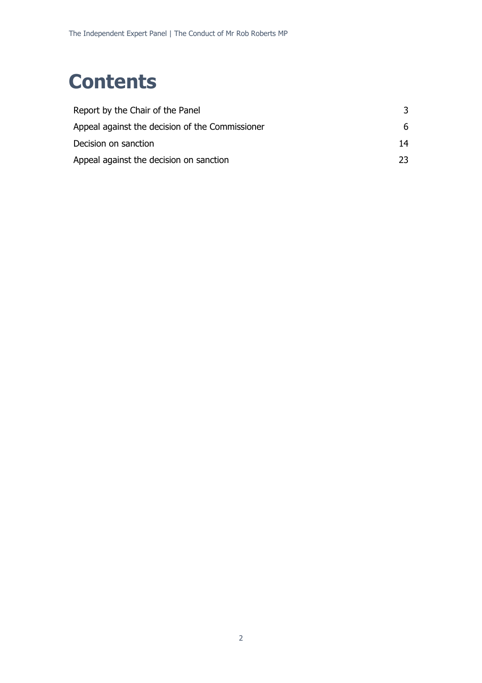# **Contents**

| Report by the Chair of the Panel                |    |
|-------------------------------------------------|----|
| Appeal against the decision of the Commissioner | 6. |
| Decision on sanction                            | 14 |
| Appeal against the decision on sanction         | つつ |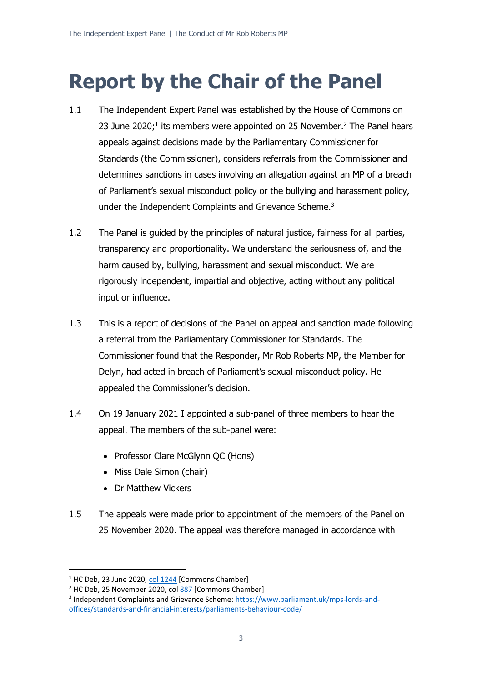# **Report by the Chair of the Panel**

- 1.1 The Independent Expert Panel was established by the House of Commons on 23 June 2020;<sup>1</sup> its members were appointed on 25 November.<sup>2</sup> The Panel hears appeals against decisions made by the Parliamentary Commissioner for Standards (the Commissioner), considers referrals from the Commissioner and determines sanctions in cases involving an allegation against an MP of a breach of Parliament's sexual misconduct policy or the bullying and harassment policy, under the Independent Complaints and Grievance Scheme.<sup>3</sup>
- 1.2 The Panel is guided by the principles of natural justice, fairness for all parties, transparency and proportionality. We understand the seriousness of, and the harm caused by, bullying, harassment and sexual misconduct. We are rigorously independent, impartial and objective, acting without any political input or influence.
- 1.3 This is a report of decisions of the Panel on appeal and sanction made following a referral from the Parliamentary Commissioner for Standards. The Commissioner found that the Responder, Mr Rob Roberts MP, the Member for Delyn, had acted in breach of Parliament's sexual misconduct policy. He appealed the Commissioner's decision.
- 1.4 On 19 January 2021 I appointed a sub-panel of three members to hear the appeal. The members of the sub-panel were:
	- Professor Clare McGlynn QC (Hons)
	- Miss Dale Simon (chair)
	- Dr Matthew Vickers
- 1.5 The appeals were made prior to appointment of the members of the Panel on 25 November 2020. The appeal was therefore managed in accordance with

 $1$  HC Deb, 23 June 2020, [col 1244](https://hansard.parliament.uk/commons/2020-06-23/debates/9646C6AF-0D3A-424B-8949-E809F658DB4C/IndependentComplaintsAndGrievanceScheme) [Commons Chamber]

<sup>&</sup>lt;sup>2</sup> HC Deb, 25 November 2020, co[l 887](https://hansard.parliament.uk/commons/2020-11-25/debates/68BE444A-B6D4-42FC-BA02-8658937A0A1A/IndependentExpertPanel) [Commons Chamber]

<sup>&</sup>lt;sup>3</sup> Independent Complaints and Grievance Scheme: [https://www.parliament.uk/mps-lords-and](https://www.parliament.uk/mps-lords-and-offices/standards-and-financial-interests/parliaments-behaviour-code/)[offices/standards-and-financial-interests/parliaments-behaviour-code/](https://www.parliament.uk/mps-lords-and-offices/standards-and-financial-interests/parliaments-behaviour-code/)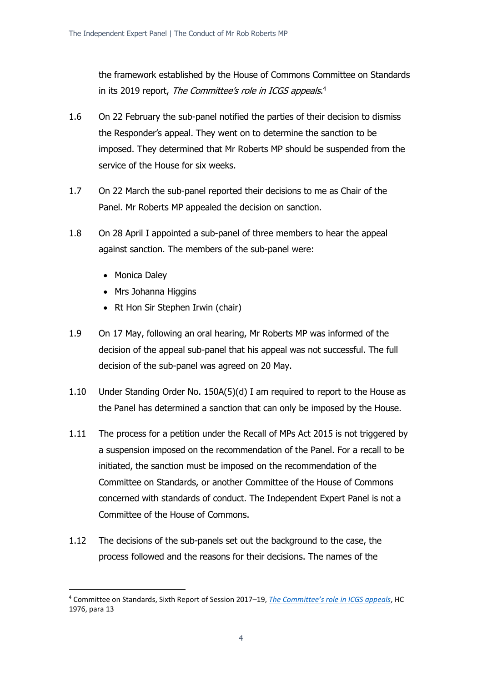the framework established by the House of Commons Committee on Standards in its 2019 report, *The Committee's role in ICGS appeals*.<sup>4</sup>

- 1.6 On 22 February the sub-panel notified the parties of their decision to dismiss the Responder's appeal. They went on to determine the sanction to be imposed. They determined that Mr Roberts MP should be suspended from the service of the House for six weeks.
- 1.7 On 22 March the sub-panel reported their decisions to me as Chair of the Panel. Mr Roberts MP appealed the decision on sanction.
- 1.8 On 28 April I appointed a sub-panel of three members to hear the appeal against sanction. The members of the sub-panel were:
	- Monica Daley
	- Mrs Johanna Higgins
	- Rt Hon Sir Stephen Irwin (chair)
- 1.9 On 17 May, following an oral hearing, Mr Roberts MP was informed of the decision of the appeal sub-panel that his appeal was not successful. The full decision of the sub-panel was agreed on 20 May.
- 1.10 Under Standing Order No. 150A(5)(d) I am required to report to the House as the Panel has determined a sanction that can only be imposed by the House.
- 1.11 The process for a petition under the Recall of MPs Act 2015 is not triggered by a suspension imposed on the recommendation of the Panel. For a recall to be initiated, the sanction must be imposed on the recommendation of the Committee on Standards, or another Committee of the House of Commons concerned with standards of conduct. The Independent Expert Panel is not a Committee of the House of Commons.
- 1.12 The decisions of the sub-panels set out the background to the case, the process followed and the reasons for their decisions. The names of the

<sup>4</sup> Committee on Standards, Sixth Report of Session 2017–19, *[The Committee's role in ICGS appeals](https://publications.parliament.uk/pa/cm201719/cmselect/cmstandards/1976/1976.pdf)*, HC 1976, para 13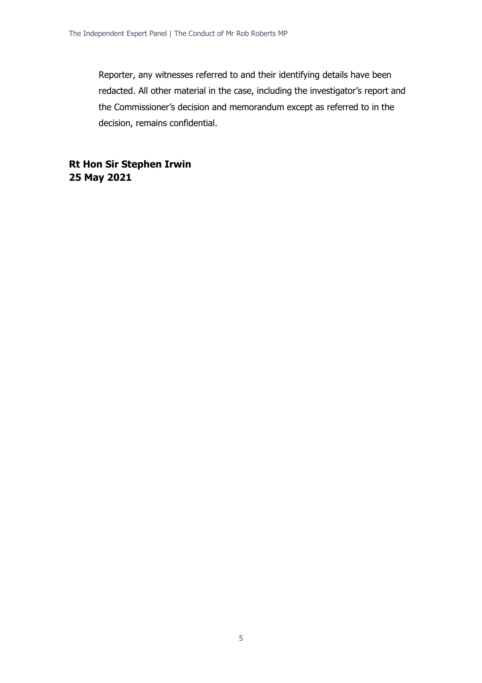Reporter, any witnesses referred to and their identifying details have been redacted. All other material in the case, including the investigator's report and the Commissioner's decision and memorandum except as referred to in the decision, remains confidential.

**Rt Hon Sir Stephen Irwin 25 May 2021**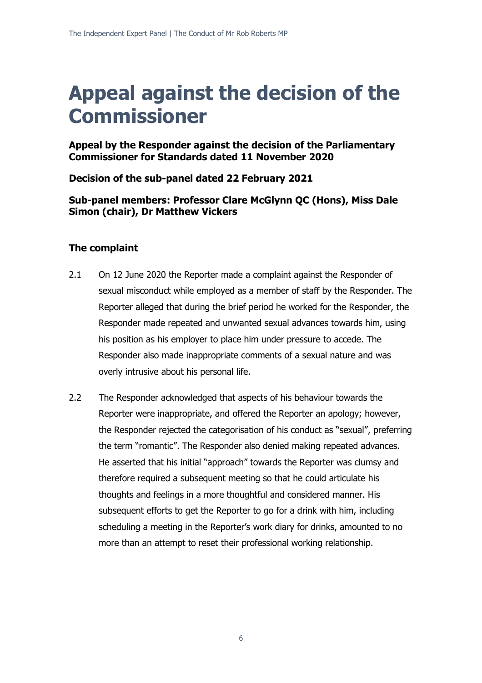# **Appeal against the decision of the Commissioner**

**Appeal by the Responder against the decision of the Parliamentary Commissioner for Standards dated 11 November 2020**

**Decision of the sub-panel dated 22 February 2021**

**Sub-panel members: Professor Clare McGlynn QC (Hons), Miss Dale Simon (chair), Dr Matthew Vickers**

# **The complaint**

- 2.1 On 12 June 2020 the Reporter made a complaint against the Responder of sexual misconduct while employed as a member of staff by the Responder. The Reporter alleged that during the brief period he worked for the Responder, the Responder made repeated and unwanted sexual advances towards him, using his position as his employer to place him under pressure to accede. The Responder also made inappropriate comments of a sexual nature and was overly intrusive about his personal life.
- 2.2 The Responder acknowledged that aspects of his behaviour towards the Reporter were inappropriate, and offered the Reporter an apology; however, the Responder rejected the categorisation of his conduct as "sexual", preferring the term "romantic". The Responder also denied making repeated advances. He asserted that his initial "approach" towards the Reporter was clumsy and therefore required a subsequent meeting so that he could articulate his thoughts and feelings in a more thoughtful and considered manner. His subsequent efforts to get the Reporter to go for a drink with him, including scheduling a meeting in the Reporter's work diary for drinks, amounted to no more than an attempt to reset their professional working relationship.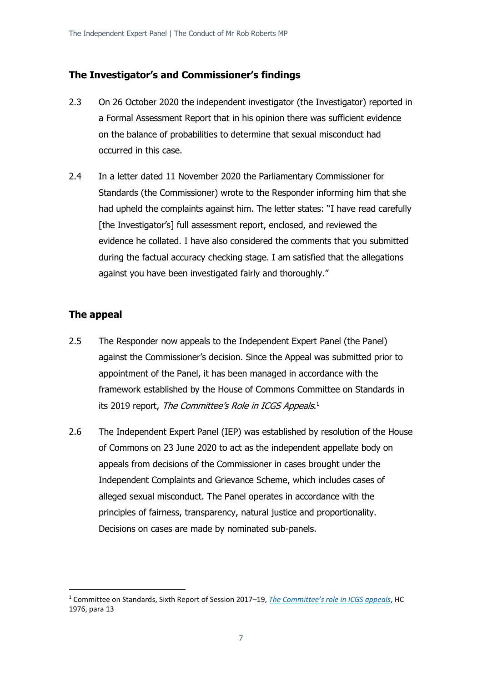### **The Investigator's and Commissioner's findings**

- 2.3 On 26 October 2020 the independent investigator (the Investigator) reported in a Formal Assessment Report that in his opinion there was sufficient evidence on the balance of probabilities to determine that sexual misconduct had occurred in this case.
- 2.4 In a letter dated 11 November 2020 the Parliamentary Commissioner for Standards (the Commissioner) wrote to the Responder informing him that she had upheld the complaints against him. The letter states: "I have read carefully [the Investigator's] full assessment report, enclosed, and reviewed the evidence he collated. I have also considered the comments that you submitted during the factual accuracy checking stage. I am satisfied that the allegations against you have been investigated fairly and thoroughly."

# **The appeal**

- 2.5 The Responder now appeals to the Independent Expert Panel (the Panel) against the Commissioner's decision. Since the Appeal was submitted prior to appointment of the Panel, it has been managed in accordance with the framework established by the House of Commons Committee on Standards in its 2019 report, *The Committee's Role in ICGS Appeals*.<sup>1</sup>
- 2.6 The Independent Expert Panel (IEP) was established by resolution of the House of Commons on 23 June 2020 to act as the independent appellate body on appeals from decisions of the Commissioner in cases brought under the Independent Complaints and Grievance Scheme, which includes cases of alleged sexual misconduct. The Panel operates in accordance with the principles of fairness, transparency, natural justice and proportionality. Decisions on cases are made by nominated sub-panels.

<sup>1</sup> Committee on Standards, Sixth Report of Session 2017–19, *[The Committee's role in ICGS appeals](https://publications.parliament.uk/pa/cm201719/cmselect/cmstandards/1976/1976.pdf)*, HC 1976, para 13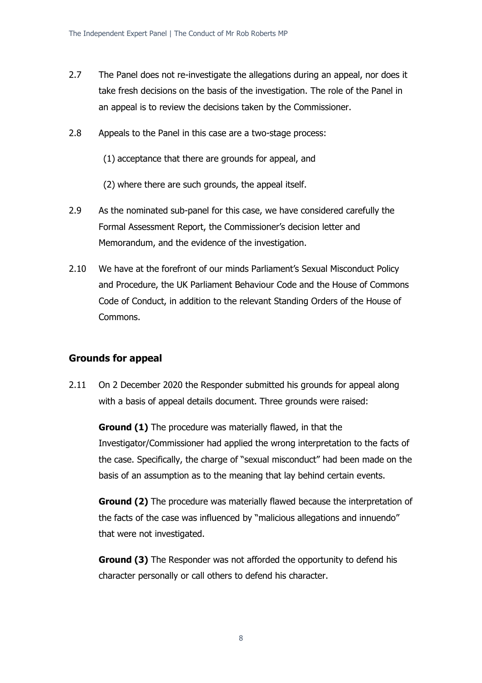- 2.7 The Panel does not re-investigate the allegations during an appeal, nor does it take fresh decisions on the basis of the investigation. The role of the Panel in an appeal is to review the decisions taken by the Commissioner.
- 2.8 Appeals to the Panel in this case are a two-stage process:
	- (1) acceptance that there are grounds for appeal, and
	- (2) where there are such grounds, the appeal itself.
- 2.9 As the nominated sub-panel for this case, we have considered carefully the Formal Assessment Report, the Commissioner's decision letter and Memorandum, and the evidence of the investigation.
- 2.10 We have at the forefront of our minds Parliament's Sexual Misconduct Policy and Procedure, the UK Parliament Behaviour Code and the House of Commons Code of Conduct, in addition to the relevant Standing Orders of the House of Commons.

### **Grounds for appeal**

2.11 On 2 December 2020 the Responder submitted his grounds for appeal along with a basis of appeal details document. Three grounds were raised:

**Ground (1)** The procedure was materially flawed, in that the Investigator/Commissioner had applied the wrong interpretation to the facts of the case. Specifically, the charge of "sexual misconduct" had been made on the basis of an assumption as to the meaning that lay behind certain events.

**Ground (2)** The procedure was materially flawed because the interpretation of the facts of the case was influenced by "malicious allegations and innuendo" that were not investigated.

**Ground (3)** The Responder was not afforded the opportunity to defend his character personally or call others to defend his character.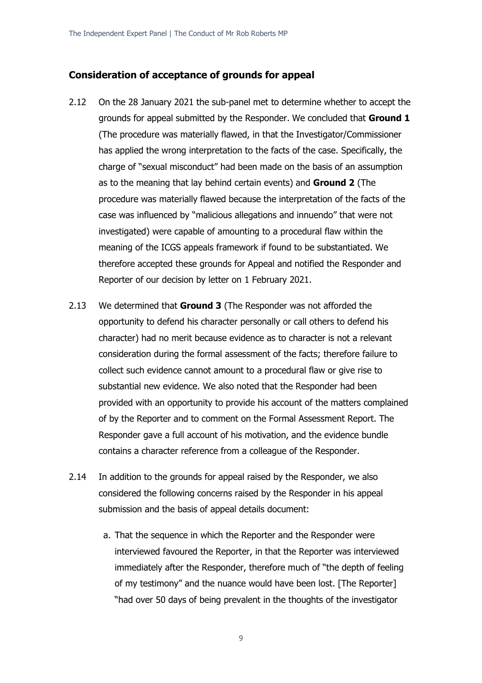#### **Consideration of acceptance of grounds for appeal**

- 2.12 On the 28 January 2021 the sub-panel met to determine whether to accept the grounds for appeal submitted by the Responder. We concluded that **Ground 1** (The procedure was materially flawed, in that the Investigator/Commissioner has applied the wrong interpretation to the facts of the case. Specifically, the charge of "sexual misconduct" had been made on the basis of an assumption as to the meaning that lay behind certain events) and **Ground 2** (The procedure was materially flawed because the interpretation of the facts of the case was influenced by "malicious allegations and innuendo" that were not investigated) were capable of amounting to a procedural flaw within the meaning of the ICGS appeals framework if found to be substantiated. We therefore accepted these grounds for Appeal and notified the Responder and Reporter of our decision by letter on 1 February 2021.
- 2.13 We determined that **Ground 3** (The Responder was not afforded the opportunity to defend his character personally or call others to defend his character) had no merit because evidence as to character is not a relevant consideration during the formal assessment of the facts; therefore failure to collect such evidence cannot amount to a procedural flaw or give rise to substantial new evidence. We also noted that the Responder had been provided with an opportunity to provide his account of the matters complained of by the Reporter and to comment on the Formal Assessment Report. The Responder gave a full account of his motivation, and the evidence bundle contains a character reference from a colleague of the Responder.
- 2.14 In addition to the grounds for appeal raised by the Responder, we also considered the following concerns raised by the Responder in his appeal submission and the basis of appeal details document:
	- a. That the sequence in which the Reporter and the Responder were interviewed favoured the Reporter, in that the Reporter was interviewed immediately after the Responder, therefore much of "the depth of feeling of my testimony" and the nuance would have been lost. [The Reporter] "had over 50 days of being prevalent in the thoughts of the investigator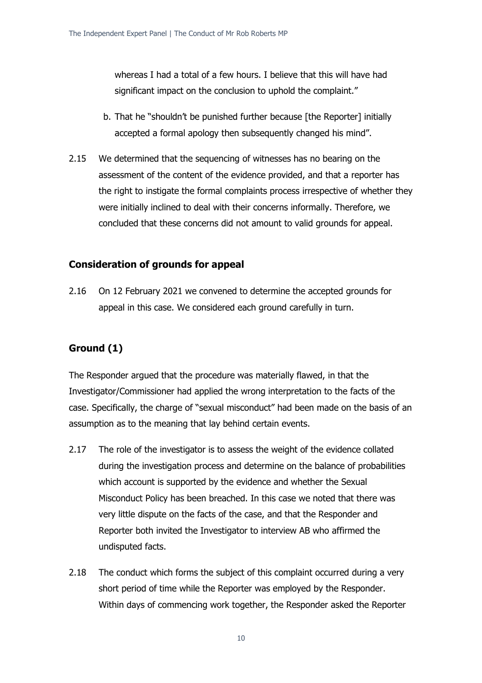whereas I had a total of a few hours. I believe that this will have had significant impact on the conclusion to uphold the complaint."

- b. That he "shouldn't be punished further because [the Reporter] initially accepted a formal apology then subsequently changed his mind".
- 2.15 We determined that the sequencing of witnesses has no bearing on the assessment of the content of the evidence provided, and that a reporter has the right to instigate the formal complaints process irrespective of whether they were initially inclined to deal with their concerns informally. Therefore, we concluded that these concerns did not amount to valid grounds for appeal.

### **Consideration of grounds for appeal**

2.16 On 12 February 2021 we convened to determine the accepted grounds for appeal in this case. We considered each ground carefully in turn.

### **Ground (1)**

The Responder argued that the procedure was materially flawed, in that the Investigator/Commissioner had applied the wrong interpretation to the facts of the case. Specifically, the charge of "sexual misconduct" had been made on the basis of an assumption as to the meaning that lay behind certain events.

- 2.17 The role of the investigator is to assess the weight of the evidence collated during the investigation process and determine on the balance of probabilities which account is supported by the evidence and whether the Sexual Misconduct Policy has been breached. In this case we noted that there was very little dispute on the facts of the case, and that the Responder and Reporter both invited the Investigator to interview AB who affirmed the undisputed facts.
- 2.18 The conduct which forms the subject of this complaint occurred during a very short period of time while the Reporter was employed by the Responder. Within days of commencing work together, the Responder asked the Reporter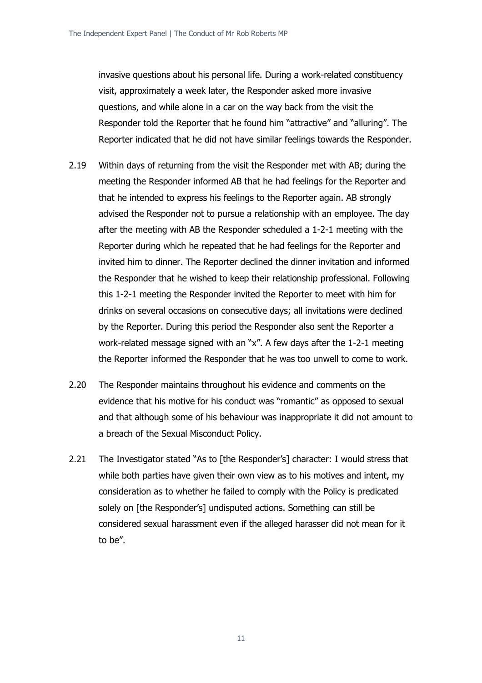invasive questions about his personal life. During a work-related constituency visit, approximately a week later, the Responder asked more invasive questions, and while alone in a car on the way back from the visit the Responder told the Reporter that he found him "attractive" and "alluring". The Reporter indicated that he did not have similar feelings towards the Responder.

- 2.19 Within days of returning from the visit the Responder met with AB; during the meeting the Responder informed AB that he had feelings for the Reporter and that he intended to express his feelings to the Reporter again. AB strongly advised the Responder not to pursue a relationship with an employee. The day after the meeting with AB the Responder scheduled a 1-2-1 meeting with the Reporter during which he repeated that he had feelings for the Reporter and invited him to dinner. The Reporter declined the dinner invitation and informed the Responder that he wished to keep their relationship professional. Following this 1-2-1 meeting the Responder invited the Reporter to meet with him for drinks on several occasions on consecutive days; all invitations were declined by the Reporter. During this period the Responder also sent the Reporter a work-related message signed with an "x". A few days after the 1-2-1 meeting the Reporter informed the Responder that he was too unwell to come to work.
- 2.20 The Responder maintains throughout his evidence and comments on the evidence that his motive for his conduct was "romantic" as opposed to sexual and that although some of his behaviour was inappropriate it did not amount to a breach of the Sexual Misconduct Policy.
- 2.21 The Investigator stated "As to [the Responder's] character: I would stress that while both parties have given their own view as to his motives and intent, my consideration as to whether he failed to comply with the Policy is predicated solely on [the Responder's] undisputed actions. Something can still be considered sexual harassment even if the alleged harasser did not mean for it to be".

11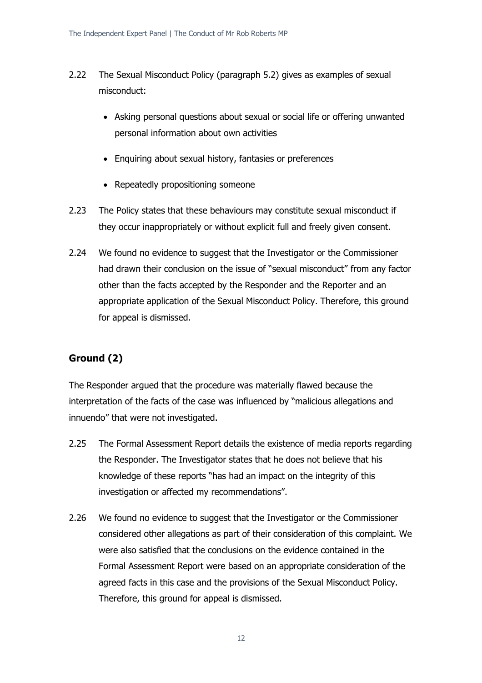- 2.22 The Sexual Misconduct Policy (paragraph 5.2) gives as examples of sexual misconduct:
	- Asking personal questions about sexual or social life or offering unwanted personal information about own activities
	- Enquiring about sexual history, fantasies or preferences
	- Repeatedly propositioning someone
- 2.23 The Policy states that these behaviours may constitute sexual misconduct if they occur inappropriately or without explicit full and freely given consent.
- 2.24 We found no evidence to suggest that the Investigator or the Commissioner had drawn their conclusion on the issue of "sexual misconduct" from any factor other than the facts accepted by the Responder and the Reporter and an appropriate application of the Sexual Misconduct Policy. Therefore, this ground for appeal is dismissed.

# **Ground (2)**

The Responder argued that the procedure was materially flawed because the interpretation of the facts of the case was influenced by "malicious allegations and innuendo" that were not investigated.

- 2.25 The Formal Assessment Report details the existence of media reports regarding the Responder. The Investigator states that he does not believe that his knowledge of these reports "has had an impact on the integrity of this investigation or affected my recommendations".
- 2.26 We found no evidence to suggest that the Investigator or the Commissioner considered other allegations as part of their consideration of this complaint. We were also satisfied that the conclusions on the evidence contained in the Formal Assessment Report were based on an appropriate consideration of the agreed facts in this case and the provisions of the Sexual Misconduct Policy. Therefore, this ground for appeal is dismissed.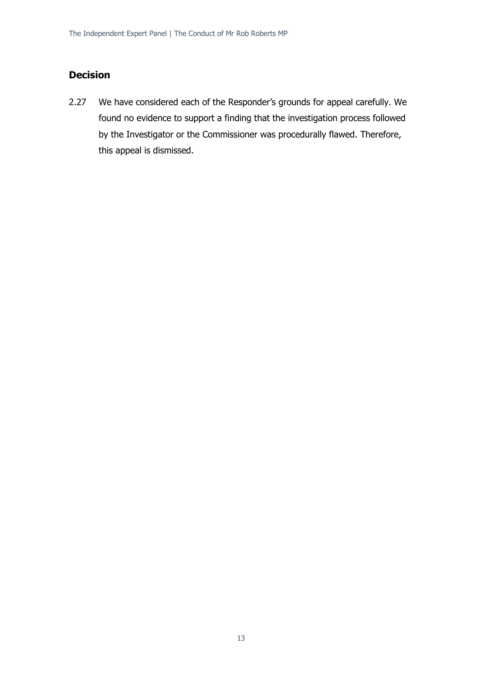# **Decision**

2.27 We have considered each of the Responder's grounds for appeal carefully. We found no evidence to support a finding that the investigation process followed by the Investigator or the Commissioner was procedurally flawed. Therefore, this appeal is dismissed.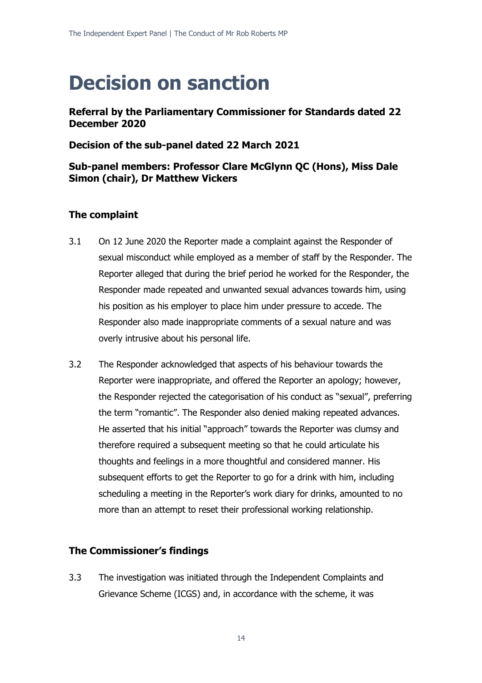# **Decision on sanction**

**Referral by the Parliamentary Commissioner for Standards dated 22 December 2020**

**Decision of the sub-panel dated 22 March 2021**

# **Sub-panel members: Professor Clare McGlynn QC (Hons), Miss Dale Simon (chair), Dr Matthew Vickers**

# **The complaint**

- 3.1 On 12 June 2020 the Reporter made a complaint against the Responder of sexual misconduct while employed as a member of staff by the Responder. The Reporter alleged that during the brief period he worked for the Responder, the Responder made repeated and unwanted sexual advances towards him, using his position as his employer to place him under pressure to accede. The Responder also made inappropriate comments of a sexual nature and was overly intrusive about his personal life.
- 3.2 The Responder acknowledged that aspects of his behaviour towards the Reporter were inappropriate, and offered the Reporter an apology; however, the Responder rejected the categorisation of his conduct as "sexual", preferring the term "romantic". The Responder also denied making repeated advances. He asserted that his initial "approach" towards the Reporter was clumsy and therefore required a subsequent meeting so that he could articulate his thoughts and feelings in a more thoughtful and considered manner. His subsequent efforts to get the Reporter to go for a drink with him, including scheduling a meeting in the Reporter's work diary for drinks, amounted to no more than an attempt to reset their professional working relationship.

### **The Commissioner's findings**

3.3 The investigation was initiated through the Independent Complaints and Grievance Scheme (ICGS) and, in accordance with the scheme, it was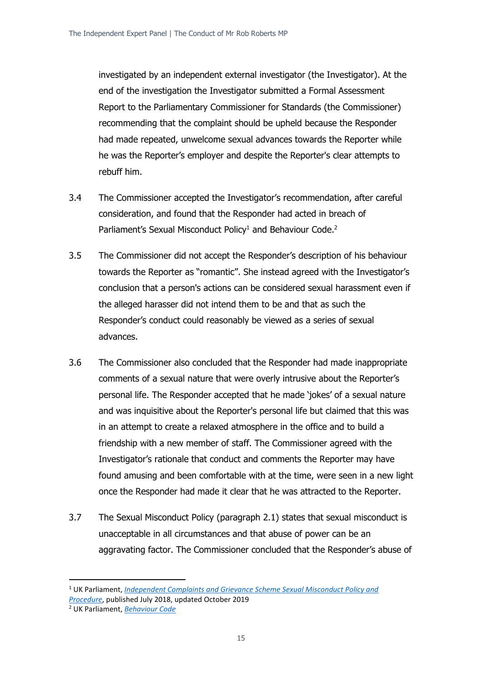investigated by an independent external investigator (the Investigator). At the end of the investigation the Investigator submitted a Formal Assessment Report to the Parliamentary Commissioner for Standards (the Commissioner) recommending that the complaint should be upheld because the Responder had made repeated, unwelcome sexual advances towards the Reporter while he was the Reporter's employer and despite the Reporter's clear attempts to rebuff him.

- 3.4 The Commissioner accepted the Investigator's recommendation, after careful consideration, and found that the Responder had acted in breach of Parliament's Sexual Misconduct Policy<sup>1</sup> and Behaviour Code.<sup>2</sup>
- 3.5 The Commissioner did not accept the Responder's description of his behaviour towards the Reporter as "romantic". She instead agreed with the Investigator's conclusion that a person's actions can be considered sexual harassment even if the alleged harasser did not intend them to be and that as such the Responder's conduct could reasonably be viewed as a series of sexual advances.
- 3.6 The Commissioner also concluded that the Responder had made inappropriate comments of a sexual nature that were overly intrusive about the Reporter's personal life. The Responder accepted that he made 'jokes' of a sexual nature and was inquisitive about the Reporter's personal life but claimed that this was in an attempt to create a relaxed atmosphere in the office and to build a friendship with a new member of staff. The Commissioner agreed with the Investigator's rationale that conduct and comments the Reporter may have found amusing and been comfortable with at the time, were seen in a new light once the Responder had made it clear that he was attracted to the Reporter.
- 3.7 The Sexual Misconduct Policy (paragraph 2.1) states that sexual misconduct is unacceptable in all circumstances and that abuse of power can be an aggravating factor. The Commissioner concluded that the Responder's abuse of

<sup>1</sup> UK Parliament, *[Independent Complaints and Grievance Scheme Sexual Misconduct Policy and](https://www.parliament.uk/link/522f0cdfa4d3426db9c5862bf8fcd012.aspx)  [Procedure](https://www.parliament.uk/link/522f0cdfa4d3426db9c5862bf8fcd012.aspx)*, published July 2018, updated October 2019

<sup>2</sup> UK Parliament, *[Behaviour Code](https://www.parliament.uk/link/bf29257002ef4e79b9b712a54b284bbd.aspx)*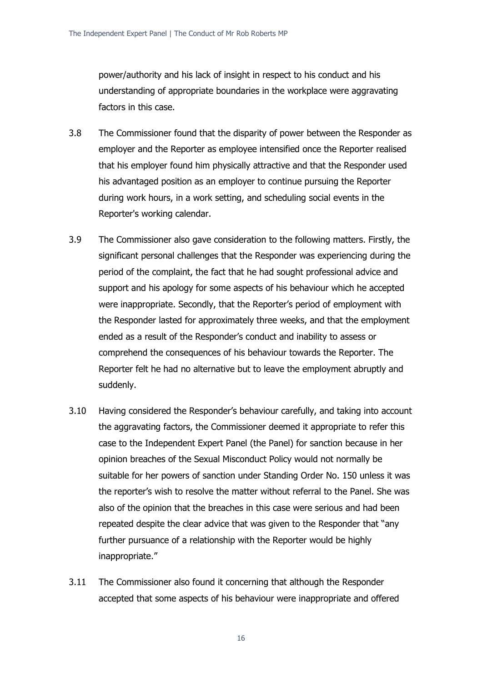power/authority and his lack of insight in respect to his conduct and his understanding of appropriate boundaries in the workplace were aggravating factors in this case.

- 3.8 The Commissioner found that the disparity of power between the Responder as employer and the Reporter as employee intensified once the Reporter realised that his employer found him physically attractive and that the Responder used his advantaged position as an employer to continue pursuing the Reporter during work hours, in a work setting, and scheduling social events in the Reporter's working calendar.
- 3.9 The Commissioner also gave consideration to the following matters. Firstly, the significant personal challenges that the Responder was experiencing during the period of the complaint, the fact that he had sought professional advice and support and his apology for some aspects of his behaviour which he accepted were inappropriate. Secondly, that the Reporter's period of employment with the Responder lasted for approximately three weeks, and that the employment ended as a result of the Responder's conduct and inability to assess or comprehend the consequences of his behaviour towards the Reporter. The Reporter felt he had no alternative but to leave the employment abruptly and suddenly.
- 3.10 Having considered the Responder's behaviour carefully, and taking into account the aggravating factors, the Commissioner deemed it appropriate to refer this case to the Independent Expert Panel (the Panel) for sanction because in her opinion breaches of the Sexual Misconduct Policy would not normally be suitable for her powers of sanction under Standing Order No. 150 unless it was the reporter's wish to resolve the matter without referral to the Panel. She was also of the opinion that the breaches in this case were serious and had been repeated despite the clear advice that was given to the Responder that "any further pursuance of a relationship with the Reporter would be highly inappropriate."
- 3.11 The Commissioner also found it concerning that although the Responder accepted that some aspects of his behaviour were inappropriate and offered

16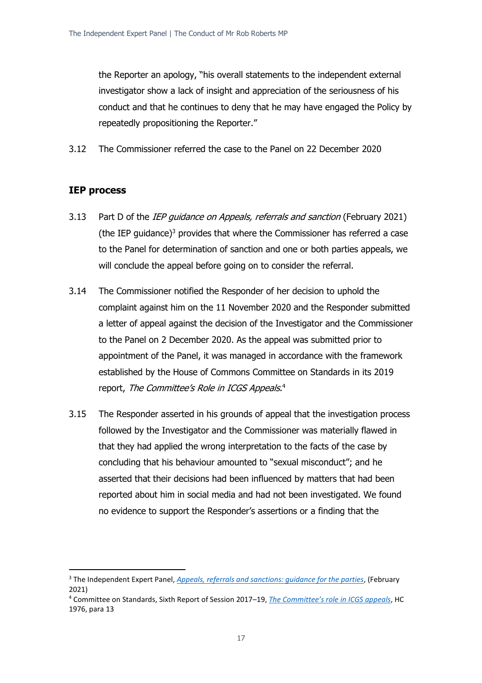the Reporter an apology, "his overall statements to the independent external investigator show a lack of insight and appreciation of the seriousness of his conduct and that he continues to deny that he may have engaged the Policy by repeatedly propositioning the Reporter."

3.12 The Commissioner referred the case to the Panel on 22 December 2020

# **IEP process**

- 3.13 Part D of the IEP guidance on Appeals, referrals and sanction (February 2021) (the IEP guidance) $3$  provides that where the Commissioner has referred a case to the Panel for determination of sanction and one or both parties appeals, we will conclude the appeal before going on to consider the referral.
- 3.14 The Commissioner notified the Responder of her decision to uphold the complaint against him on the 11 November 2020 and the Responder submitted a letter of appeal against the decision of the Investigator and the Commissioner to the Panel on 2 December 2020. As the appeal was submitted prior to appointment of the Panel, it was managed in accordance with the framework established by the House of Commons Committee on Standards in its 2019 report, *The Committee's Role in ICGS Appeals*.<sup>4</sup>
- 3.15 The Responder asserted in his grounds of appeal that the investigation process followed by the Investigator and the Commissioner was materially flawed in that they had applied the wrong interpretation to the facts of the case by concluding that his behaviour amounted to "sexual misconduct"; and he asserted that their decisions had been influenced by matters that had been reported about him in social media and had not been investigated. We found no evidence to support the Responder's assertions or a finding that the

<sup>3</sup> The Independent Expert Panel, *Appeals, [referrals and sanctions: guidance for the parties](https://www.parliament.uk/contentassets/9f8cb2bf27134de397acbfbd76c18069/appeals-referrals-and-sanctions---guidance-for-the-parties.pdf)*, (February 2021)

<sup>4</sup> Committee on Standards, Sixth Report of Session 2017–19, *[The Committee's role in ICGS ap](https://publications.parliament.uk/pa/cm201719/cmselect/cmstandards/1976/1976.pdf)peals*, HC 1976, para 13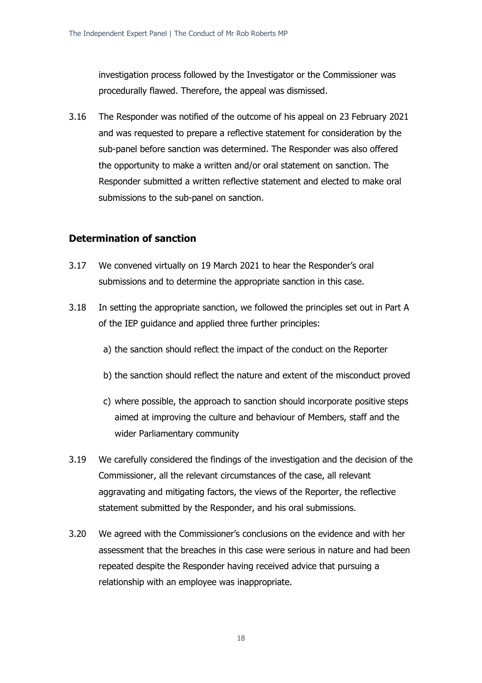investigation process followed by the Investigator or the Commissioner was procedurally flawed. Therefore, the appeal was dismissed.

3.16 The Responder was notified of the outcome of his appeal on 23 February 2021 and was requested to prepare a reflective statement for consideration by the sub-panel before sanction was determined. The Responder was also offered the opportunity to make a written and/or oral statement on sanction. The Responder submitted a written reflective statement and elected to make oral submissions to the sub-panel on sanction.

### **Determination of sanction**

- 3.17 We convened virtually on 19 March 2021 to hear the Responder's oral submissions and to determine the appropriate sanction in this case.
- 3.18 In setting the appropriate sanction, we followed the principles set out in Part A of the IEP guidance and applied three further principles:
	- a) the sanction should reflect the impact of the conduct on the Reporter
	- b) the sanction should reflect the nature and extent of the misconduct proved
	- c) where possible, the approach to sanction should incorporate positive steps aimed at improving the culture and behaviour of Members, staff and the wider Parliamentary community
- 3.19 We carefully considered the findings of the investigation and the decision of the Commissioner, all the relevant circumstances of the case, all relevant aggravating and mitigating factors, the views of the Reporter, the reflective statement submitted by the Responder, and his oral submissions.
- 3.20 We agreed with the Commissioner's conclusions on the evidence and with her assessment that the breaches in this case were serious in nature and had been repeated despite the Responder having received advice that pursuing a relationship with an employee was inappropriate.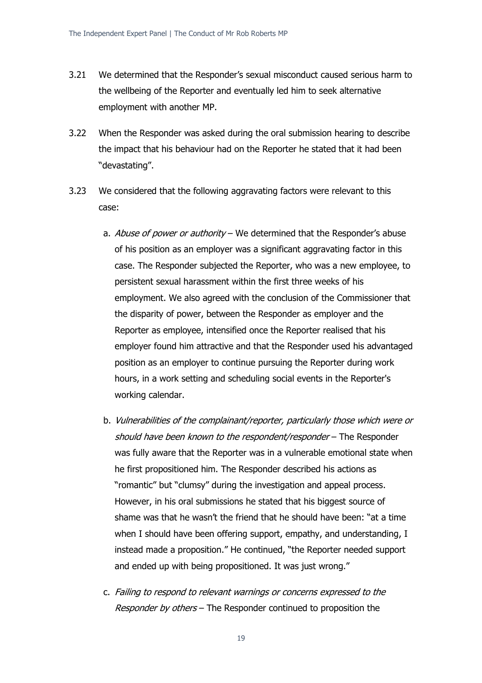- 3.21 We determined that the Responder's sexual misconduct caused serious harm to the wellbeing of the Reporter and eventually led him to seek alternative employment with another MP.
- 3.22 When the Responder was asked during the oral submission hearing to describe the impact that his behaviour had on the Reporter he stated that it had been "devastating".
- 3.23 We considered that the following aggravating factors were relevant to this case:
	- a. Abuse of power or authority We determined that the Responder's abuse of his position as an employer was a significant aggravating factor in this case. The Responder subjected the Reporter, who was a new employee, to persistent sexual harassment within the first three weeks of his employment. We also agreed with the conclusion of the Commissioner that the disparity of power, between the Responder as employer and the Reporter as employee, intensified once the Reporter realised that his employer found him attractive and that the Responder used his advantaged position as an employer to continue pursuing the Reporter during work hours, in a work setting and scheduling social events in the Reporter's working calendar.
	- b. Vulnerabilities of the complainant/reporter, particularly those which were or should have been known to the respondent/responder – The Responder was fully aware that the Reporter was in a vulnerable emotional state when he first propositioned him. The Responder described his actions as "romantic" but "clumsy" during the investigation and appeal process. However, in his oral submissions he stated that his biggest source of shame was that he wasn't the friend that he should have been: "at a time when I should have been offering support, empathy, and understanding, I instead made a proposition." He continued, "the Reporter needed support and ended up with being propositioned. It was just wrong."
	- c. Failing to respond to relevant warnings or concerns expressed to the Responder by others – The Responder continued to proposition the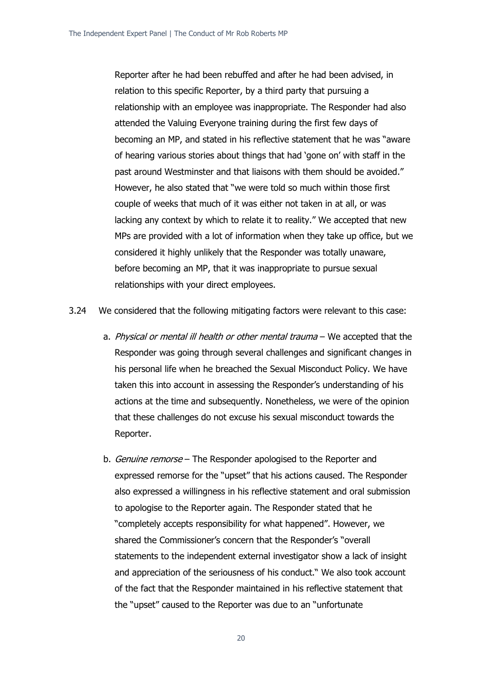Reporter after he had been rebuffed and after he had been advised, in relation to this specific Reporter, by a third party that pursuing a relationship with an employee was inappropriate. The Responder had also attended the Valuing Everyone training during the first few days of becoming an MP, and stated in his reflective statement that he was "aware of hearing various stories about things that had 'gone on' with staff in the past around Westminster and that liaisons with them should be avoided." However, he also stated that "we were told so much within those first couple of weeks that much of it was either not taken in at all, or was lacking any context by which to relate it to reality." We accepted that new MPs are provided with a lot of information when they take up office, but we considered it highly unlikely that the Responder was totally unaware, before becoming an MP, that it was inappropriate to pursue sexual relationships with your direct employees.

3.24 We considered that the following mitigating factors were relevant to this case:

- a. Physical or mental ill health or other mental trauma We accepted that the Responder was going through several challenges and significant changes in his personal life when he breached the Sexual Misconduct Policy. We have taken this into account in assessing the Responder's understanding of his actions at the time and subsequently. Nonetheless, we were of the opinion that these challenges do not excuse his sexual misconduct towards the Reporter.
- b. *Genuine remorse* The Responder apologised to the Reporter and expressed remorse for the "upset" that his actions caused. The Responder also expressed a willingness in his reflective statement and oral submission to apologise to the Reporter again. The Responder stated that he "completely accepts responsibility for what happened". However, we shared the Commissioner's concern that the Responder's "overall statements to the independent external investigator show a lack of insight and appreciation of the seriousness of his conduct." We also took account of the fact that the Responder maintained in his reflective statement that the "upset" caused to the Reporter was due to an "unfortunate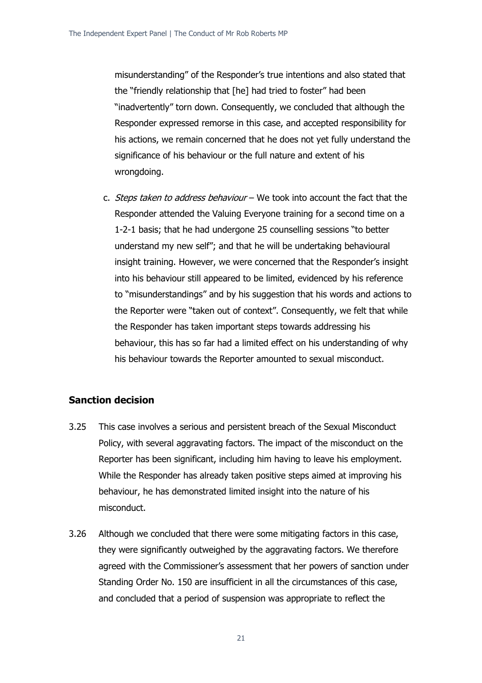misunderstanding" of the Responder's true intentions and also stated that the "friendly relationship that [he] had tried to foster" had been "inadvertently" torn down. Consequently, we concluded that although the Responder expressed remorse in this case, and accepted responsibility for his actions, we remain concerned that he does not yet fully understand the significance of his behaviour or the full nature and extent of his wrongdoing.

c. Steps taken to address behaviour – We took into account the fact that the Responder attended the Valuing Everyone training for a second time on a 1-2-1 basis; that he had undergone 25 counselling sessions "to better understand my new self"; and that he will be undertaking behavioural insight training. However, we were concerned that the Responder's insight into his behaviour still appeared to be limited, evidenced by his reference to "misunderstandings" and by his suggestion that his words and actions to the Reporter were "taken out of context". Consequently, we felt that while the Responder has taken important steps towards addressing his behaviour, this has so far had a limited effect on his understanding of why his behaviour towards the Reporter amounted to sexual misconduct.

# **Sanction decision**

- 3.25 This case involves a serious and persistent breach of the Sexual Misconduct Policy, with several aggravating factors. The impact of the misconduct on the Reporter has been significant, including him having to leave his employment. While the Responder has already taken positive steps aimed at improving his behaviour, he has demonstrated limited insight into the nature of his misconduct.
- 3.26 Although we concluded that there were some mitigating factors in this case, they were significantly outweighed by the aggravating factors. We therefore agreed with the Commissioner's assessment that her powers of sanction under Standing Order No. 150 are insufficient in all the circumstances of this case, and concluded that a period of suspension was appropriate to reflect the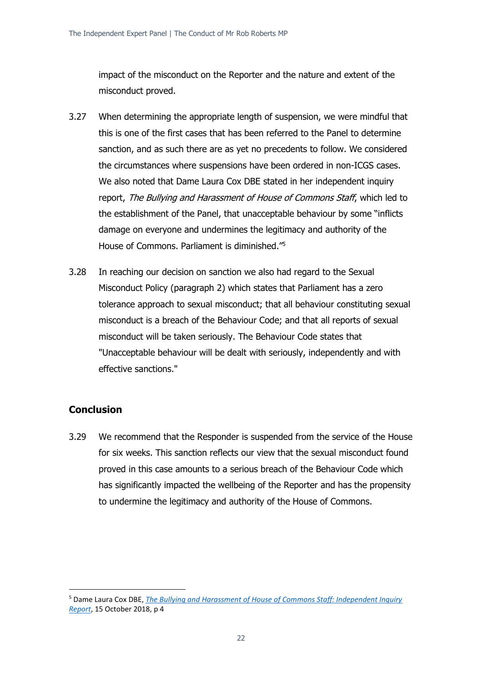impact of the misconduct on the Reporter and the nature and extent of the misconduct proved.

- 3.27 When determining the appropriate length of suspension, we were mindful that this is one of the first cases that has been referred to the Panel to determine sanction, and as such there are as yet no precedents to follow. We considered the circumstances where suspensions have been ordered in non-ICGS cases. We also noted that Dame Laura Cox DBE stated in her independent inquiry report, The Bullying and Harassment of House of Commons Staff, which led to the establishment of the Panel, that unacceptable behaviour by some "inflicts damage on everyone and undermines the legitimacy and authority of the House of Commons. Parliament is diminished." 5
- 3.28 In reaching our decision on sanction we also had regard to the Sexual Misconduct Policy (paragraph 2) which states that Parliament has a zero tolerance approach to sexual misconduct; that all behaviour constituting sexual misconduct is a breach of the Behaviour Code; and that all reports of sexual misconduct will be taken seriously. The Behaviour Code states that "Unacceptable behaviour will be dealt with seriously, independently and with effective sanctions."

# **Conclusion**

3.29 We recommend that the Responder is suspended from the service of the House for six weeks. This sanction reflects our view that the sexual misconduct found proved in this case amounts to a serious breach of the Behaviour Code which has significantly impacted the wellbeing of the Reporter and has the propensity to undermine the legitimacy and authority of the House of Commons.

<sup>5</sup> Dame Laura Cox DBE, *[The Bullying and Harassment of House of Commons Staff: Independent Inquiry](https://www.parliament.uk/globalassets/documents/conduct-in-parliament/dame-laura-cox-independent-inquiry-report.pdf)  [Report](https://www.parliament.uk/globalassets/documents/conduct-in-parliament/dame-laura-cox-independent-inquiry-report.pdf)*, 15 October 2018, p 4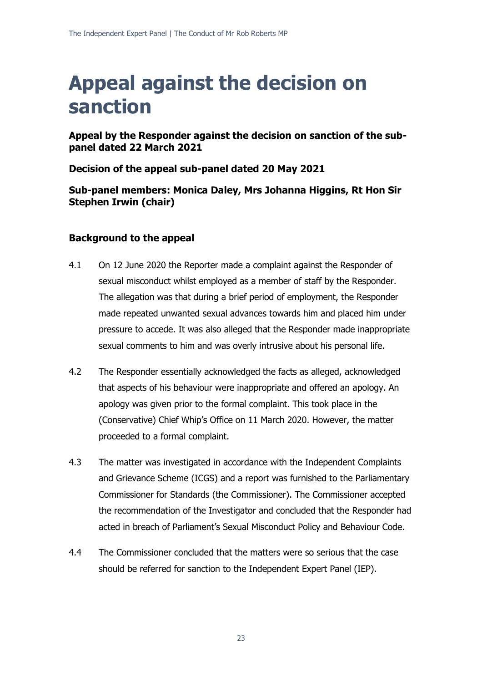# **Appeal against the decision on sanction**

**Appeal by the Responder against the decision on sanction of the subpanel dated 22 March 2021**

**Decision of the appeal sub-panel dated 20 May 2021**

**Sub-panel members: Monica Daley, Mrs Johanna Higgins, Rt Hon Sir Stephen Irwin (chair)**

# **Background to the appeal**

- 4.1 On 12 June 2020 the Reporter made a complaint against the Responder of sexual misconduct whilst employed as a member of staff by the Responder. The allegation was that during a brief period of employment, the Responder made repeated unwanted sexual advances towards him and placed him under pressure to accede. It was also alleged that the Responder made inappropriate sexual comments to him and was overly intrusive about his personal life.
- 4.2 The Responder essentially acknowledged the facts as alleged, acknowledged that aspects of his behaviour were inappropriate and offered an apology. An apology was given prior to the formal complaint. This took place in the (Conservative) Chief Whip's Office on 11 March 2020. However, the matter proceeded to a formal complaint.
- 4.3 The matter was investigated in accordance with the Independent Complaints and Grievance Scheme (ICGS) and a report was furnished to the Parliamentary Commissioner for Standards (the Commissioner). The Commissioner accepted the recommendation of the Investigator and concluded that the Responder had acted in breach of Parliament's Sexual Misconduct Policy and Behaviour Code.
- 4.4 The Commissioner concluded that the matters were so serious that the case should be referred for sanction to the Independent Expert Panel (IEP).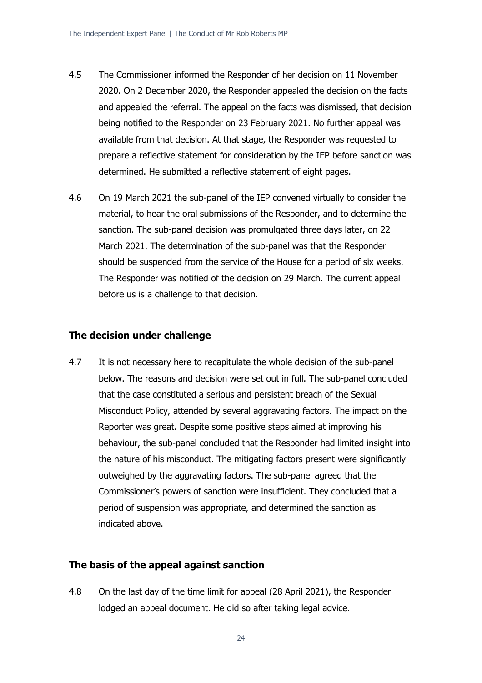- 4.5 The Commissioner informed the Responder of her decision on 11 November 2020. On 2 December 2020, the Responder appealed the decision on the facts and appealed the referral. The appeal on the facts was dismissed, that decision being notified to the Responder on 23 February 2021. No further appeal was available from that decision. At that stage, the Responder was requested to prepare a reflective statement for consideration by the IEP before sanction was determined. He submitted a reflective statement of eight pages.
- 4.6 On 19 March 2021 the sub-panel of the IEP convened virtually to consider the material, to hear the oral submissions of the Responder, and to determine the sanction. The sub-panel decision was promulgated three days later, on 22 March 2021. The determination of the sub-panel was that the Responder should be suspended from the service of the House for a period of six weeks. The Responder was notified of the decision on 29 March. The current appeal before us is a challenge to that decision.

#### **The decision under challenge**

4.7 It is not necessary here to recapitulate the whole decision of the sub-panel below. The reasons and decision were set out in full. The sub-panel concluded that the case constituted a serious and persistent breach of the Sexual Misconduct Policy, attended by several aggravating factors. The impact on the Reporter was great. Despite some positive steps aimed at improving his behaviour, the sub-panel concluded that the Responder had limited insight into the nature of his misconduct. The mitigating factors present were significantly outweighed by the aggravating factors. The sub-panel agreed that the Commissioner's powers of sanction were insufficient. They concluded that a period of suspension was appropriate, and determined the sanction as indicated above.

### **The basis of the appeal against sanction**

4.8 On the last day of the time limit for appeal (28 April 2021), the Responder lodged an appeal document. He did so after taking legal advice.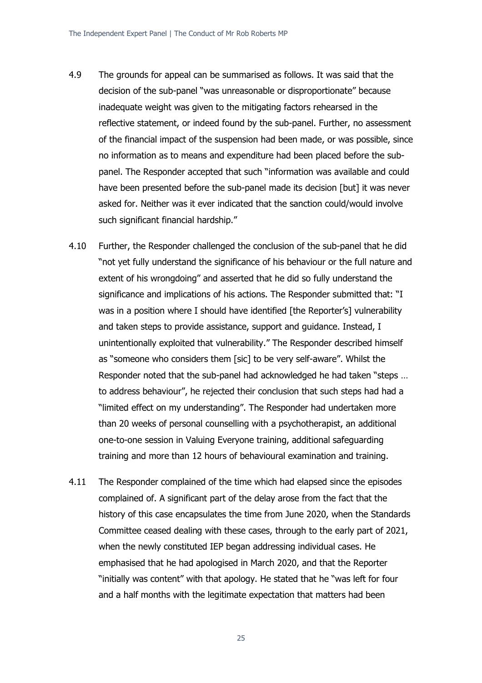- 4.9 The grounds for appeal can be summarised as follows. It was said that the decision of the sub-panel "was unreasonable or disproportionate" because inadequate weight was given to the mitigating factors rehearsed in the reflective statement, or indeed found by the sub-panel. Further, no assessment of the financial impact of the suspension had been made, or was possible, since no information as to means and expenditure had been placed before the subpanel. The Responder accepted that such "information was available and could have been presented before the sub-panel made its decision [but] it was never asked for. Neither was it ever indicated that the sanction could/would involve such significant financial hardship."
- 4.10 Further, the Responder challenged the conclusion of the sub-panel that he did "not yet fully understand the significance of his behaviour or the full nature and extent of his wrongdoing" and asserted that he did so fully understand the significance and implications of his actions. The Responder submitted that: "I was in a position where I should have identified [the Reporter's] vulnerability and taken steps to provide assistance, support and guidance. Instead, I unintentionally exploited that vulnerability." The Responder described himself as "someone who considers them [sic] to be very self-aware". Whilst the Responder noted that the sub-panel had acknowledged he had taken "steps … to address behaviour", he rejected their conclusion that such steps had had a "limited effect on my understanding". The Responder had undertaken more than 20 weeks of personal counselling with a psychotherapist, an additional one-to-one session in Valuing Everyone training, additional safeguarding training and more than 12 hours of behavioural examination and training.
- 4.11 The Responder complained of the time which had elapsed since the episodes complained of. A significant part of the delay arose from the fact that the history of this case encapsulates the time from June 2020, when the Standards Committee ceased dealing with these cases, through to the early part of 2021, when the newly constituted IEP began addressing individual cases. He emphasised that he had apologised in March 2020, and that the Reporter "initially was content" with that apology. He stated that he "was left for four and a half months with the legitimate expectation that matters had been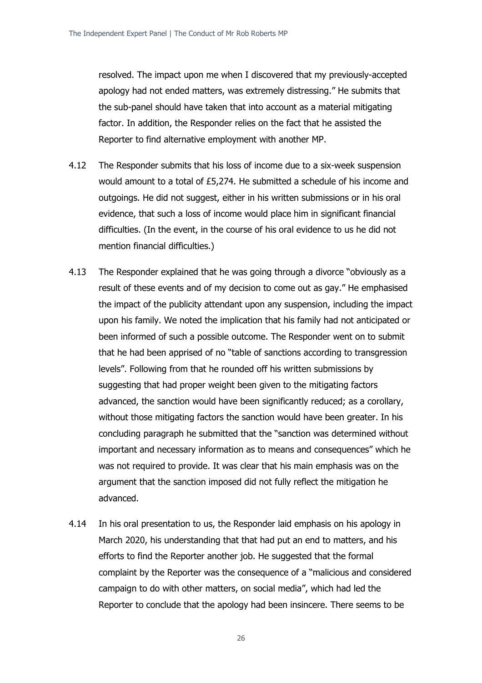resolved. The impact upon me when I discovered that my previously-accepted apology had not ended matters, was extremely distressing." He submits that the sub-panel should have taken that into account as a material mitigating factor. In addition, the Responder relies on the fact that he assisted the Reporter to find alternative employment with another MP.

- 4.12 The Responder submits that his loss of income due to a six-week suspension would amount to a total of £5,274. He submitted a schedule of his income and outgoings. He did not suggest, either in his written submissions or in his oral evidence, that such a loss of income would place him in significant financial difficulties. (In the event, in the course of his oral evidence to us he did not mention financial difficulties.)
- 4.13 The Responder explained that he was going through a divorce "obviously as a result of these events and of my decision to come out as gay." He emphasised the impact of the publicity attendant upon any suspension, including the impact upon his family. We noted the implication that his family had not anticipated or been informed of such a possible outcome. The Responder went on to submit that he had been apprised of no "table of sanctions according to transgression levels". Following from that he rounded off his written submissions by suggesting that had proper weight been given to the mitigating factors advanced, the sanction would have been significantly reduced; as a corollary, without those mitigating factors the sanction would have been greater. In his concluding paragraph he submitted that the "sanction was determined without important and necessary information as to means and consequences" which he was not required to provide. It was clear that his main emphasis was on the argument that the sanction imposed did not fully reflect the mitigation he advanced.
- 4.14 In his oral presentation to us, the Responder laid emphasis on his apology in March 2020, his understanding that that had put an end to matters, and his efforts to find the Reporter another job. He suggested that the formal complaint by the Reporter was the consequence of a "malicious and considered campaign to do with other matters, on social media", which had led the Reporter to conclude that the apology had been insincere. There seems to be

26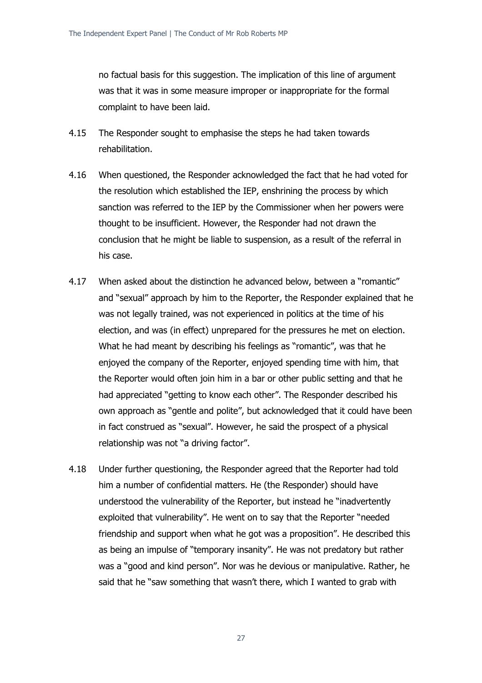no factual basis for this suggestion. The implication of this line of argument was that it was in some measure improper or inappropriate for the formal complaint to have been laid.

- 4.15 The Responder sought to emphasise the steps he had taken towards rehabilitation.
- 4.16 When questioned, the Responder acknowledged the fact that he had voted for the resolution which established the IEP, enshrining the process by which sanction was referred to the IEP by the Commissioner when her powers were thought to be insufficient. However, the Responder had not drawn the conclusion that he might be liable to suspension, as a result of the referral in his case.
- 4.17 When asked about the distinction he advanced below, between a "romantic" and "sexual" approach by him to the Reporter, the Responder explained that he was not legally trained, was not experienced in politics at the time of his election, and was (in effect) unprepared for the pressures he met on election. What he had meant by describing his feelings as "romantic", was that he enjoyed the company of the Reporter, enjoyed spending time with him, that the Reporter would often join him in a bar or other public setting and that he had appreciated "getting to know each other". The Responder described his own approach as "gentle and polite", but acknowledged that it could have been in fact construed as "sexual". However, he said the prospect of a physical relationship was not "a driving factor".
- 4.18 Under further questioning, the Responder agreed that the Reporter had told him a number of confidential matters. He (the Responder) should have understood the vulnerability of the Reporter, but instead he "inadvertently exploited that vulnerability". He went on to say that the Reporter "needed friendship and support when what he got was a proposition". He described this as being an impulse of "temporary insanity". He was not predatory but rather was a "good and kind person". Nor was he devious or manipulative. Rather, he said that he "saw something that wasn't there, which I wanted to grab with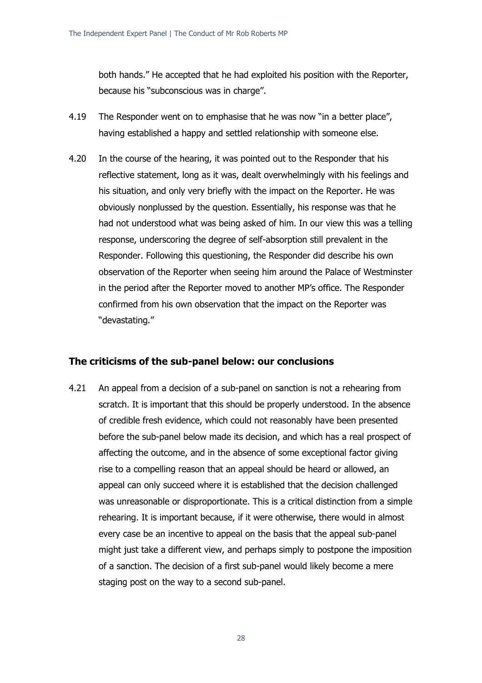both hands." He accepted that he had exploited his position with the Reporter, because his "subconscious was in charge".

- 4.19 The Responder went on to emphasise that he was now "in a better place", having established a happy and settled relationship with someone else.
- 4.20 In the course of the hearing, it was pointed out to the Responder that his reflective statement, long as it was, dealt overwhelmingly with his feelings and his situation, and only very briefly with the impact on the Reporter. He was obviously nonplussed by the question. Essentially, his response was that he had not understood what was being asked of him. In our view this was a telling response, underscoring the degree of self-absorption still prevalent in the Responder. Following this questioning, the Responder did describe his own observation of the Reporter when seeing him around the Palace of Westminster in the period after the Reporter moved to another MP's office. The Responder confirmed from his own observation that the impact on the Reporter was "devastating."

# **The criticisms of the sub-panel below: our conclusions**

4.21 An appeal from a decision of a sub-panel on sanction is not a rehearing from scratch. It is important that this should be properly understood. In the absence of credible fresh evidence, which could not reasonably have been presented before the sub-panel below made its decision, and which has a real prospect of affecting the outcome, and in the absence of some exceptional factor giving rise to a compelling reason that an appeal should be heard or allowed, an appeal can only succeed where it is established that the decision challenged was unreasonable or disproportionate. This is a critical distinction from a simple rehearing. It is important because, if it were otherwise, there would in almost every case be an incentive to appeal on the basis that the appeal sub-panel might just take a different view, and perhaps simply to postpone the imposition of a sanction. The decision of a first sub-panel would likely become a mere staging post on the way to a second sub-panel.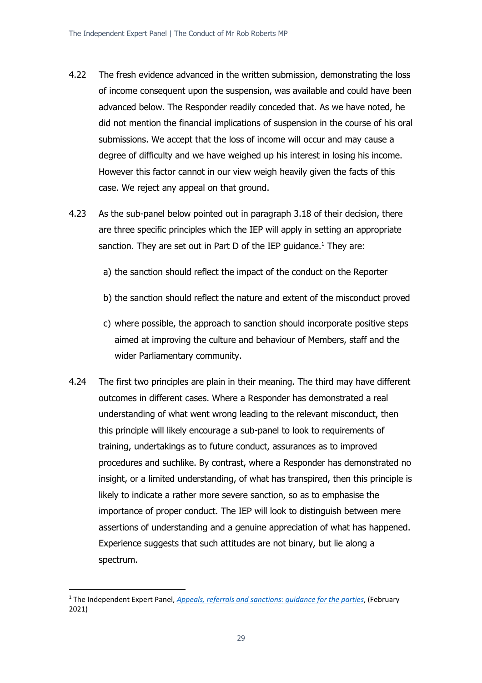- 4.22 The fresh evidence advanced in the written submission, demonstrating the loss of income consequent upon the suspension, was available and could have been advanced below. The Responder readily conceded that. As we have noted, he did not mention the financial implications of suspension in the course of his oral submissions. We accept that the loss of income will occur and may cause a degree of difficulty and we have weighed up his interest in losing his income. However this factor cannot in our view weigh heavily given the facts of this case. We reject any appeal on that ground.
- 4.23 As the sub-panel below pointed out in paragraph 3.18 of their decision, there are three specific principles which the IEP will apply in setting an appropriate sanction. They are set out in Part D of the IEP quidance.<sup>1</sup> They are:
	- a) the sanction should reflect the impact of the conduct on the Reporter
	- b) the sanction should reflect the nature and extent of the misconduct proved
	- c) where possible, the approach to sanction should incorporate positive steps aimed at improving the culture and behaviour of Members, staff and the wider Parliamentary community.
- 4.24 The first two principles are plain in their meaning. The third may have different outcomes in different cases. Where a Responder has demonstrated a real understanding of what went wrong leading to the relevant misconduct, then this principle will likely encourage a sub-panel to look to requirements of training, undertakings as to future conduct, assurances as to improved procedures and suchlike. By contrast, where a Responder has demonstrated no insight, or a limited understanding, of what has transpired, then this principle is likely to indicate a rather more severe sanction, so as to emphasise the importance of proper conduct. The IEP will look to distinguish between mere assertions of understanding and a genuine appreciation of what has happened. Experience suggests that such attitudes are not binary, but lie along a spectrum.

<sup>1</sup> The Independent Expert Panel, *[Appeals, referrals and sanctions: guidance for the parties](https://www.parliament.uk/contentassets/9f8cb2bf27134de397acbfbd76c18069/appeals-referrals-and-sanctions---guidance-for-the-parties.pdf)*, (February 2021)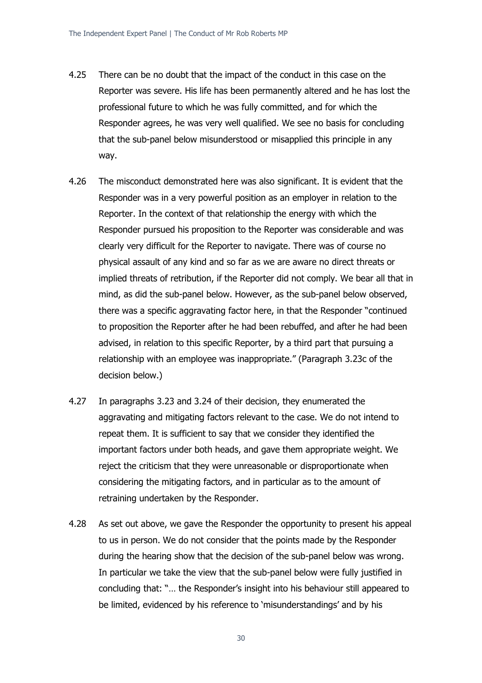- 4.25 There can be no doubt that the impact of the conduct in this case on the Reporter was severe. His life has been permanently altered and he has lost the professional future to which he was fully committed, and for which the Responder agrees, he was very well qualified. We see no basis for concluding that the sub-panel below misunderstood or misapplied this principle in any way.
- 4.26 The misconduct demonstrated here was also significant. It is evident that the Responder was in a very powerful position as an employer in relation to the Reporter. In the context of that relationship the energy with which the Responder pursued his proposition to the Reporter was considerable and was clearly very difficult for the Reporter to navigate. There was of course no physical assault of any kind and so far as we are aware no direct threats or implied threats of retribution, if the Reporter did not comply. We bear all that in mind, as did the sub-panel below. However, as the sub-panel below observed, there was a specific aggravating factor here, in that the Responder "continued to proposition the Reporter after he had been rebuffed, and after he had been advised, in relation to this specific Reporter, by a third part that pursuing a relationship with an employee was inappropriate." (Paragraph 3.23c of the decision below.)
- 4.27 In paragraphs 3.23 and 3.24 of their decision, they enumerated the aggravating and mitigating factors relevant to the case. We do not intend to repeat them. It is sufficient to say that we consider they identified the important factors under both heads, and gave them appropriate weight. We reject the criticism that they were unreasonable or disproportionate when considering the mitigating factors, and in particular as to the amount of retraining undertaken by the Responder.
- 4.28 As set out above, we gave the Responder the opportunity to present his appeal to us in person. We do not consider that the points made by the Responder during the hearing show that the decision of the sub-panel below was wrong. In particular we take the view that the sub-panel below were fully justified in concluding that: "… the Responder's insight into his behaviour still appeared to be limited, evidenced by his reference to 'misunderstandings' and by his

30